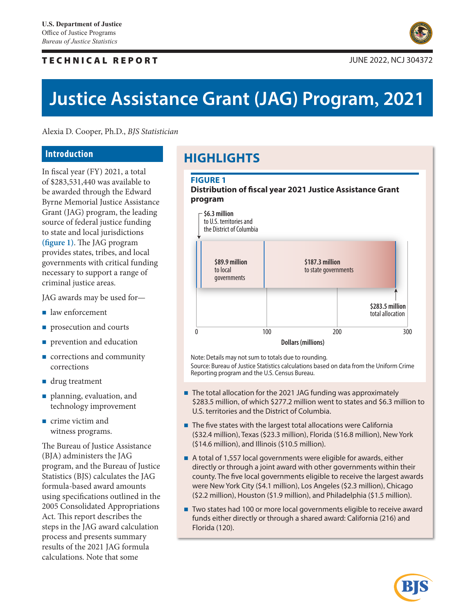# TECHNICAL REPORT JUNE 2022, NCJ 304372



# **Justice Assistance Grant (JAG) Program, 2021**

Alexia D. Cooper, Ph.D., *BJS Statistician*

# **Introduction**

In fiscal year (FY) 2021, a total of \$283,531,440 was available to be awarded through the Edward Byrne Memorial Justice Assistance Grant (JAG) program, the leading source of federal justice funding to state and local jurisdictions **(figure 1)**. The JAG program provides states, tribes, and local governments with critical funding necessary to support a range of criminal justice areas.

JAG awards may be used for—

- law enforcement
- **prosecution and courts**
- **prevention and education**
- **corrections and community** corrections
- drug treatment
- planning, evaluation, and technology improvement
- crime victim and witness programs.

The Bureau of Justice Assistance (BJA) administers the JAG program, and the Bureau of Justice Statistics (BJS) calculates the JAG formula-based award amounts using specifications outlined in the 2005 Consolidated Appropriations Act. This report describes the steps in the JAG award calculation process and presents summary results of the 2021 JAG formula calculations. Note that some

# **HIGHLIGHTS**

# **Figure 1**

#### **Distribution of fiscal year 2021 Justice Assistance Grant program**



Note: Details may not sum to totals due to rounding. Source: Bureau of Justice Statistics calculations based on data from the Uniform Crime Reporting program and the U.S. Census Bureau.

- The total allocation for the 2021 JAG funding was approximately \$283.5 million, of which \$277.2 million went to states and \$6.3 million to U.S. territories and the District of Columbia.
- The five states with the largest total allocations were California (\$32.4 million), Texas (\$23.3 million), Florida (\$16.8 million), New York (\$14.6 million), and Illinois (\$10.5 million).
- A total of 1,557 local governments were eligible for awards, either directly or through a joint award with other governments within their county. The five local governments eligible to receive the largest awards were New York City (\$4.1 million), Los Angeles (\$2.3 million), Chicago (\$2.2 million), Houston (\$1.9 million), and Philadelphia (\$1.5 million).
- Two states had 100 or more local governments eligible to receive award funds either directly or through a shared award: California (216) and Florida (120).

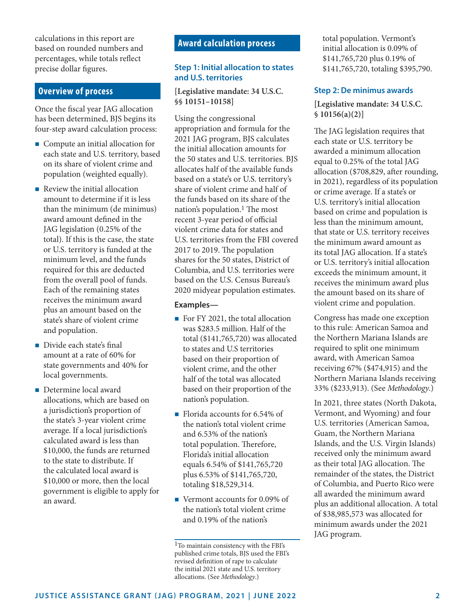calculations in this report are based on rounded numbers and percentages, while totals reflect precise dollar figures.

# **Overview of process**

Once the fiscal year JAG allocation has been determined, BJS begins its four-step award calculation process:

- **Compute an initial allocation for** each state and U.S. territory, based on its share of violent crime and population (weighted equally).
- Review the initial allocation amount to determine if it is less than the minimum (de minimus) award amount defined in the JAG legislation (0.25% of the total). If this is the case, the state or U.S. territory is funded at the minimum level, and the funds required for this are deducted from the overall pool of funds. Each of the remaining states receives the minimum award plus an amount based on the state's share of violent crime and population.
- Divide each state's final amount at a rate of 60% for state governments and 40% for local governments.
- Determine local award allocations, which are based on a jurisdiction's proportion of the state's 3-year violent crime average. If a local jurisdiction's calculated award is less than \$10,000, the funds are returned to the state to distribute. If the calculated local award is \$10,000 or more, then the local government is eligible to apply for an award.

# **Award calculation process**

#### **Step 1: Initial allocation to states and U.S. territories**

**[Legislative mandate: 34 U.S.C. §§ 10151–10158]**

Using the congressional appropriation and formula for the 2021 JAG program, BJS calculates the initial allocation amounts for the 50 states and U.S. territories. BJS allocates half of the available funds based on a state's or U.S. territory's share of violent crime and half of the funds based on its share of the nation's population.<sup>1</sup> The most recent 3-year period of official violent crime data for states and U.S. territories from the FBI covered 2017 to 2019. The population shares for the 50 states, District of Columbia, and U.S. territories were based on the U.S. Census Bureau's 2020 midyear population estimates.

#### **Examples—**

- For FY 2021, the total allocation was \$283.5 million. Half of the total (\$141,765,720) was allocated to states and U.S territories based on their proportion of violent crime, and the other half of the total was allocated based on their proportion of the nation's population.
- Florida accounts for 6.54% of the nation's total violent crime and 6.53% of the nation's total population. Therefore, Florida's initial allocation equals 6.54% of \$141,765,720 plus 6.53% of \$141,765,720, totaling \$18,529,314.
- Vermont accounts for 0.09% of the nation's total violent crime and 0.19% of the nation's

total population. Vermont's initial allocation is 0.09% of \$141,765,720 plus 0.19% of \$141,765,720, totaling \$395,790.

#### **Step 2: De minimus awards**

#### **[Legislative mandate: 34 U.S.C. § 10156(a)(2)]**

The JAG legislation requires that each state or U.S. territory be awarded a minimum allocation equal to 0.25% of the total JAG allocation (\$708,829, after rounding, in 2021), regardless of its population or crime average. If a state's or U.S. territory's initial allocation based on crime and population is less than the minimum amount, that state or U.S. territory receives the minimum award amount as its total JAG allocation. If a state's or U.S. territory's initial allocation exceeds the minimum amount, it receives the minimum award plus the amount based on its share of violent crime and population.

Congress has made one exception to this rule: American Samoa and the Northern Mariana Islands are required to split one minimum award, with American Samoa receiving 67% (\$474,915) and the Northern Mariana Islands receiving 33% (\$233,913). (See *Methodology*.)

In 2021, three states (North Dakota, Vermont, and Wyoming) and four U.S. territories (American Samoa, Guam, the Northern Mariana Islands, and the U.S. Virgin Islands) received only the minimum award as their total JAG allocation. The remainder of the states, the District of Columbia, and Puerto Rico were all awarded the minimum award plus an additional allocation. A total of \$38,985,573 was allocated for minimum awards under the 2021 JAG program.

<sup>1</sup>To maintain consistency with the FBI's published crime totals, BJS used the FBI's revised definition of rape to calculate the initial 2021 state and U.S. territory allocations. (See *Methodology*.)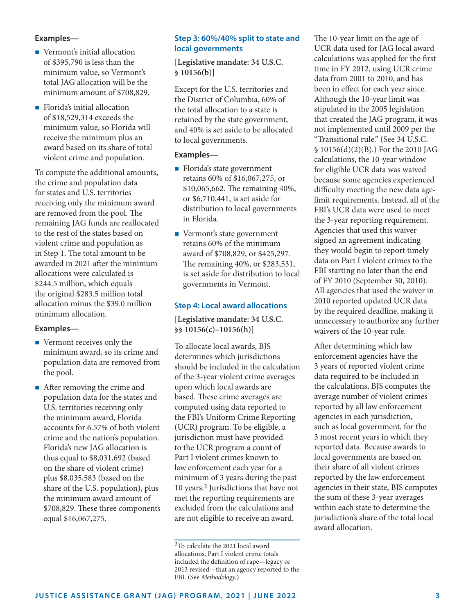## **Examples—**

- Vermont's initial allocation of \$395,790 is less than the minimum value, so Vermont's total JAG allocation will be the minimum amount of \$708,829.
- **Florida's initial allocation** of \$18,529,314 exceeds the minimum value, so Florida will receive the minimum plus an award based on its share of total violent crime and population.

To compute the additional amounts, the crime and population data for states and U.S. territories receiving only the minimum award are removed from the pool. The remaining JAG funds are reallocated to the rest of the states based on violent crime and population as in Step 1. The total amount to be awarded in 2021 after the minimum allocations were calculated is \$244.5 million, which equals the original \$283.5 million total allocation minus the \$39.0 million minimum allocation.

#### **Examples—**

- Vermont receives only the minimum award, so its crime and population data are removed from the pool.
- After removing the crime and population data for the states and U.S. territories receiving only the minimum award, Florida accounts for 6.57% of both violent crime and the nation's population. Florida's new JAG allocation is thus equal to \$8,031,692 (based on the share of violent crime) plus \$8,035,583 (based on the share of the U.S. population), plus the minimum award amount of \$708,829. These three components equal \$16,067,275.

# **Step 3: 60%/40% split to state and local governments**

**[Legislative mandate: 34 U.S.C. § 10156(b)]**

Except for the U.S. territories and the District of Columbia, 60% of the total allocation to a state is retained by the state government, and 40% is set aside to be allocated to local governments.

#### **Examples—**

- **Florida's state government** retains 60% of \$16,067,275, or \$10,065,662. The remaining 40%, or \$6,710,441, is set aside for distribution to local governments in Florida.
- Vermont's state government retains 60% of the minimum award of \$708,829, or \$425,297. The remaining 40%, or \$283,531, is set aside for distribution to local governments in Vermont.

# **Step 4: Local award allocations**

**[Legislative mandate: 34 U.S.C. §§ 10156(c)–10156(h)]**

To allocate local awards, BJS determines which jurisdictions should be included in the calculation of the 3-year violent crime averages upon which local awards are based. These crime averages are computed using data reported to the FBI's Uniform Crime Reporting (UCR) program. To be eligible, a jurisdiction must have provided to the UCR program a count of Part I violent crimes known to law enforcement each year for a minimum of 3 years during the past 10 years.2 Jurisdictions that have not met the reporting requirements are excluded from the calculations and are not eligible to receive an award.

The 10-year limit on the age of UCR data used for JAG local award calculations was applied for the first time in FY 2012, using UCR crime data from 2001 to 2010, and has been in effect for each year since. Although the 10-year limit was stipulated in the 2005 legislation that created the JAG program, it was not implemented until 2009 per the "Transitional rule." (See 34 U.S.C. § 10156(d)(2)(B).) For the 2010 JAG calculations, the 10-year window for eligible UCR data was waived because some agencies experienced difficulty meeting the new data agelimit requirements. Instead, all of the FBI's UCR data were used to meet the 3-year reporting requirement. Agencies that used this waiver signed an agreement indicating they would begin to report timely data on Part I violent crimes to the FBI starting no later than the end of FY 2010 (September 30, 2010). All agencies that used the waiver in 2010 reported updated UCR data by the required deadline, making it unnecessary to authorize any further waivers of the 10-year rule.

After determining which law enforcement agencies have the 3 years of reported violent crime data required to be included in the calculations, BJS computes the average number of violent crimes reported by all law enforcement agencies in each jurisdiction, such as local government, for the 3 most recent years in which they reported data. Because awards to local governments are based on their share of all violent crimes reported by the law enforcement agencies in their state, BJS computes the sum of these 3-year averages within each state to determine the jurisdiction's share of the total local award allocation.

<sup>2</sup>To calculate the 2021 local award allocations, Part I violent crime totals included the definition of rape—legacy or 2013 revised—that an agency reported to the FBI. (See *Methodology*.)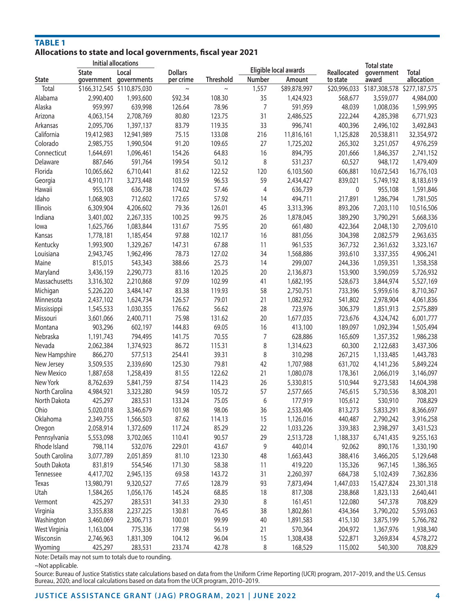#### **TAbLE 1 Allocations to state and local governments, fiscal year 2021 Initial allocations**

| initial allocations |              |                                 | Eligible local awards       |                  |                | <b>Total state</b> |                         |                                          |                            |
|---------------------|--------------|---------------------------------|-----------------------------|------------------|----------------|--------------------|-------------------------|------------------------------------------|----------------------------|
| <b>State</b>        | <b>State</b> | Local<br>government governments | <b>Dollars</b><br>per crime | <b>Threshold</b> | <b>Number</b>  | Amount             | Reallocated<br>to state | government<br>award                      | <b>Total</b><br>allocation |
| Total               |              | \$166,312,545 \$110,875,030     | $\sim$                      | $\sim$           | 1,557          | \$89,878,997       |                         | \$20,996,033 \$187,308,578 \$277,187,575 |                            |
| Alabama             | 2,990,400    | 1,993,600                       | \$92.34                     | 108.30           | 35             | 1,424,923          | 568,677                 | 3,559,077                                | 4,984,000                  |
| Alaska              | 959,997      | 639,998                         | 126.64                      | 78.96            | $\overline{7}$ | 591,959            | 48,039                  | 1,008,036                                | 1,599,995                  |
| Arizona             | 4,063,154    | 2,708,769                       | 80.80                       | 123.75           | 31             | 2,486,525          | 222,244                 | 4,285,398                                | 6,771,923                  |
| Arkansas            | 2,095,706    | 1,397,137                       | 83.79                       | 119.35           | 33             | 996,741            | 400,396                 | 2,496,102                                | 3,492,843                  |
| California          | 19,412,983   | 12,941,989                      | 75.15                       | 133.08           | 216            | 11,816,161         | 1,125,828               | 20,538,811                               | 32,354,972                 |
| Colorado            | 2,985,755    | 1,990,504                       | 91.20                       | 109.65           | 27             | 1,725,202          | 265,302                 | 3,251,057                                | 4,976,259                  |
| Connecticut         | 1,644,691    | 1,096,461                       | 154.26                      | 64.83            | 16             | 894,795            | 201,666                 | 1,846,357                                | 2,741,152                  |
| Delaware            | 887,646      | 591,764                         | 199.54                      | 50.12            | 8              | 531,237            | 60,527                  | 948,172                                  | 1,479,409                  |
| Florida             | 10,065,662   | 6,710,441                       | 81.62                       | 122.52           | 120            | 6,103,560          | 606,881                 | 10,672,543                               | 16,776,103                 |
| Georgia             | 4,910,171    | 3,273,448                       | 103.59                      | 96.53            | 59             | 2,434,427          | 839,021                 | 5,749,192                                | 8,183,619                  |
| Hawaii              | 955,108      | 636,738                         | 174.02                      | 57.46            | 4              | 636,739            | $\mathbf{0}$            | 955,108                                  | 1,591,846                  |
| Idaho               | 1,068,903    | 712,602                         | 172.65                      | 57.92            | 14             | 494,711            | 217,891                 | 1,286,794                                | 1,781,505                  |
| Illinois            | 6,309,904    | 4,206,602                       | 79.36                       | 126.01           | 45             | 3,313,396          | 893,206                 | 7,203,110                                | 10,516,506                 |
| Indiana             | 3,401,002    | 2,267,335                       | 100.25                      | 99.75            | 26             | 1,878,045          | 389,290                 | 3,790,291                                | 5,668,336                  |
| lowa                | 1,625,766    | 1,083,844                       | 131.67                      | 75.95            | 20             | 661,480            | 422,364                 | 2,048,130                                | 2,709,610                  |
| Kansas              | 1,778,181    | 1,185,454                       | 97.88                       | 102.17           | 16             | 881,056            | 304,398                 | 2,082,579                                | 2,963,635                  |
| Kentucky            | 1,993,900    | 1,329,267                       | 147.31                      | 67.88            | 11             | 961,535            | 367,732                 | 2,361,632                                | 3,323,167                  |
| Louisiana           | 2,943,745    | 1,962,496                       | 78.73                       | 127.02           | 34             | 1,568,886          | 393,610                 | 3,337,355                                | 4,906,241                  |
| Maine               | 815,015      | 543,343                         | 388.66                      | 25.73            | 14             | 299,007            | 244,336                 | 1,059,351                                | 1,358,358                  |
| Maryland            | 3,436,159    | 2,290,773                       | 83.16                       | 120.25           | 20             | 2,136,873          | 153,900                 | 3,590,059                                | 5,726,932                  |
| Massachusetts       | 3,316,302    | 2,210,868                       | 97.09                       | 102.99           | 41             | 1,682,195          | 528,673                 | 3,844,974                                | 5,527,169                  |
| Michigan            | 5,226,220    | 3,484,147                       | 83.38                       | 119.93           | 58             | 2,750,751          | 733,396                 | 5,959,616                                | 8,710,367                  |
| Minnesota           | 2,437,102    | 1,624,734                       | 126.57                      | 79.01            | 21             | 1,082,932          | 541,802                 | 2,978,904                                | 4,061,836                  |
| Mississippi         | 1,545,533    | 1,030,355                       | 176.62                      | 56.62            | 28             | 723,976            | 306,379                 | 1,851,913                                | 2,575,889                  |
| Missouri            | 3,601,066    | 2,400,711                       | 75.98                       | 131.62           | 20             | 1,677,035          | 723,676                 | 4,324,742                                | 6,001,777                  |
| Montana             | 903,296      | 602,197                         | 144.83                      | 69.05            | 16             | 413,100            | 189,097                 | 1,092,394                                | 1,505,494                  |
| Nebraska            | 1,191,743    | 794,495                         | 141.75                      | 70.55            | $\overline{7}$ | 628,886            | 165,609                 | 1,357,352                                | 1,986,238                  |
| Nevada              | 2,062,384    | 1,374,923                       | 86.72                       | 115.31           | 8              | 1,314,623          | 60,300                  | 2,122,683                                | 3,437,306                  |
| New Hampshire       | 866,270      | 577,513                         | 254.41                      | 39.31            | 8              | 310,298            | 267,215                 | 1,133,485                                | 1,443,783                  |
| New Jersey          | 3,509,535    | 2,339,690                       | 125.30                      | 79.81            | 42             | 1,707,988          | 631,702                 | 4,141,236                                | 5,849,224                  |
| New Mexico          | 1,887,658    | 1,258,439                       | 81.55                       | 122.62           | 21             | 1,080,078          | 178,361                 | 2,066,019                                | 3,146,097                  |
| New York            | 8,762,639    | 5,841,759                       | 87.54                       | 114.23           | 26             | 5,330,815          | 510,944                 | 9,273,583                                | 14,604,398                 |
| North Carolina      | 4,984,921    | 3,323,280                       | 94.59                       | 105.72           | 57             | 2,577,665          | 745,615                 | 5,730,536                                | 8,308,201                  |
| North Dakota        | 425,297      | 283,531                         | 133.24                      | 75.05            | 6              | 177,919            | 105,612                 | 530,910                                  | 708,829                    |
| Ohio                | 5,020,018    | 3,346,679                       | 101.98                      | 98.06            | 36             | 2,533,406          | 813,273                 | 5,833,291                                | 8,366,697                  |
| Oklahoma            | 2,349,755    | 1,566,503                       | 87.62                       | 114.13           | 15             | 1,126,016          | 440,487                 | 2,790,242                                | 3,916,258                  |
| Oregon              | 2,058,914    | 1,372,609                       | 117.24                      | 85.29            | 22             | 1,033,226          | 339,383                 | 2,398,297                                | 3,431,523                  |
| Pennsylvania        | 5,553,098    | 3,702,065                       | 110.41                      | 90.57            | 29             | 2,513,728          | 1,188,337               | 6,741,435                                | 9,255,163                  |
| Rhode Island        | 798,114      | 532,076                         | 229.01                      | 43.67            | 9              | 440,014            | 92,062                  | 890,176                                  | 1,330,190                  |
| South Carolina      | 3,077,789    | 2,051,859                       | 81.10                       | 123.30           | 48             | 1,663,443          | 388,416                 | 3,466,205                                | 5,129,648                  |
| South Dakota        | 831,819      | 554,546                         | 171.30                      | 58.38            | 11             | 419,220            | 135,326                 | 967,145                                  | 1,386,365                  |
| Tennessee           | 4,417,702    | 2,945,135                       | 69.58                       | 143.72           | 31             | 2,260,397          | 684,738                 | 5,102,439                                | 7,362,836                  |
| Texas               | 13,980,791   | 9,320,527                       | 77.65                       | 128.79           | 93             | 7,873,494          | 1,447,033               | 15,427,824                               | 23,301,318                 |
| Utah                | 1,584,265    | 1,056,176                       | 145.24                      | 68.85            | 18             | 817,308            | 238,868                 | 1,823,133                                | 2,640,441                  |
| Vermont             | 425,297      | 283,531                         | 341.33                      | 29.30            |                |                    | 122,080                 |                                          |                            |
|                     |              |                                 |                             |                  | 8              | 161,451            |                         | 547,378                                  | 708,829                    |
| Virginia            | 3,355,838    | 2,237,225                       | 130.81                      | 76.45            | 38             | 1,802,861          | 434,364                 | 3,790,202                                | 5,593,063                  |
| Washington          | 3,460,069    | 2,306,713                       | 100.01<br>177.98            | 99.99            | 40<br>21       | 1,891,583          | 415,130                 | 3,875,199                                | 5,766,782                  |
| West Virginia       | 1,163,004    | 775,336                         |                             | 56.19            |                | 570,364            | 204,972                 | 1,367,976                                | 1,938,340                  |
| Wisconsin           | 2,746,963    | 1,831,309                       | 104.12                      | 96.04            | 15             | 1,308,438          | 522,871                 | 3,269,834                                | 4,578,272                  |
| Wyoming             | 425,297      | 283,531                         | 233.74                      | 42.78            | 8              | 168,529            | 115,002                 | 540,300                                  | 708,829                    |

Note: Details may not sum to totals due to rounding.

~Not applicable.

Source: Bureau of Justice Statistics state calculations based on data from the Uniform Crime Reporting (UCR) program, 2017–2019, and the U.S. Census Bureau, 2020; and local calculations based on data from the UCR program, 2010–2019.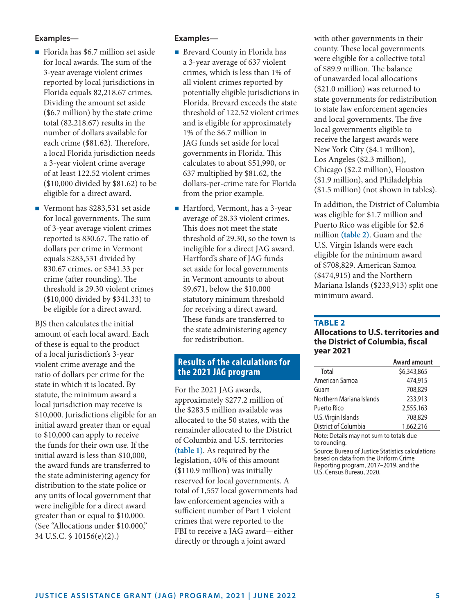## **Examples—**

- Florida has \$6.7 million set aside for local awards. The sum of the 3-year average violent crimes reported by local jurisdictions in Florida equals 82,218.67 crimes. Dividing the amount set aside (\$6.7 million) by the state crime total (82,218.67) results in the number of dollars available for each crime (\$81.62). Therefore, a local Florida jurisdiction needs a 3-year violent crime average of at least 122.52 violent crimes (\$10,000 divided by \$81.62) to be eligible for a direct award.
- Vermont has \$283,531 set aside for local governments. The sum of 3-year average violent crimes reported is 830.67. The ratio of dollars per crime in Vermont equals \$283,531 divided by 830.67 crimes, or \$341.33 per crime (after rounding). The threshold is 29.30 violent crimes (\$10,000 divided by \$341.33) to be eligible for a direct award.

BJS then calculates the initial amount of each local award. Each of these is equal to the product of a local jurisdiction's 3-year violent crime average and the ratio of dollars per crime for the state in which it is located. By statute, the minimum award a local jurisdiction may receive is \$10,000. Jurisdictions eligible for an initial award greater than or equal to \$10,000 can apply to receive the funds for their own use. If the initial award is less than \$10,000, the award funds are transferred to the state administering agency for distribution to the state police or any units of local government that were ineligible for a direct award greater than or equal to \$10,000. (See "Allocations under \$10,000," 34 U.S.C. § 10156(e)(2).)

#### **Examples—**

- $\blacksquare$  Brevard County in Florida has a 3-year average of 637 violent crimes, which is less than 1% of all violent crimes reported by potentially eligible jurisdictions in Florida. Brevard exceeds the state threshold of 122.52 violent crimes and is eligible for approximately 1% of the \$6.7 million in JAG funds set aside for local governments in Florida. This calculates to about \$51,990, or 637 multiplied by \$81.62, the dollars-per-crime rate for Florida from the prior example.
- Hartford, Vermont, has a 3-year average of 28.33 violent crimes. This does not meet the state threshold of 29.30, so the town is ineligible for a direct JAG award. Hartford's share of JAG funds set aside for local governments in Vermont amounts to about \$9,671, below the \$10,000 statutory minimum threshold for receiving a direct award. These funds are transferred to the state administering agency for redistribution.

# **Results of the calculations for the 2021 JAG program**

For the 2021 JAG awards, approximately \$277.2 million of the \$283.5 million available was allocated to the 50 states, with the remainder allocated to the District of Columbia and U.S. territories **(table 1)**. As required by the legislation, 40% of this amount (\$110.9 million) was initially reserved for local governments. A total of 1,557 local governments had law enforcement agencies with a sufficient number of Part 1 violent crimes that were reported to the FBI to receive a JAG award—either directly or through a joint award

with other governments in their county. These local governments were eligible for a collective total of \$89.9 million. The balance of unawarded local allocations (\$21.0 million) was returned to state governments for redistribution to state law enforcement agencies and local governments. The five local governments eligible to receive the largest awards were New York City (\$4.1 million), Los Angeles (\$2.3 million), Chicago (\$2.2 million), Houston (\$1.9 million), and Philadelphia (\$1.5 million) (not shown in tables).

In addition, the District of Columbia was eligible for \$1.7 million and Puerto Rico was eligible for \$2.6 million **(table 2)**. Guam and the U.S. Virgin Islands were each eligible for the minimum award of \$708,829. American Samoa (\$474,915) and the Northern Mariana Islands (\$233,913) split one minimum award.

#### **TAbLE 2**

#### **Allocations to u.S. territories and the District of Columbia, fiscal year 2021**

|                                                                                                                                    | <b>Award amount</b> |  |
|------------------------------------------------------------------------------------------------------------------------------------|---------------------|--|
| Total                                                                                                                              | \$6,343,865         |  |
| American Samoa                                                                                                                     | 474,915             |  |
| Guam                                                                                                                               | 708,829             |  |
| Northern Mariana Islands                                                                                                           | 233,913             |  |
| Puerto Rico                                                                                                                        | 2,555,163           |  |
| U.S. Virgin Islands                                                                                                                | 708,829             |  |
| District of Columbia                                                                                                               | 1,662,216           |  |
| Note: Details may not sum to totals due<br>to rounding.                                                                            |                     |  |
| Source: Bureau of Justice Statistics calculations<br>based on data from the Uniform Crime<br>Reporting program, 2017–2019, and the |                     |  |

U.S. Census Bureau, 2020.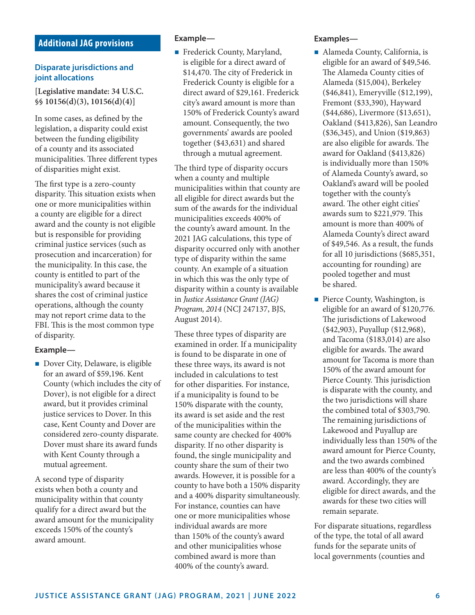# **Additional JAG provisions**

#### **Disparate jurisdictions and joint allocations**

**[Legislative mandate: 34 U.S.C. §§ 10156(d)(3), 10156(d)(4)]**

In some cases, as defined by the legislation, a disparity could exist between the funding eligibility of a county and its associated municipalities. Three different types of disparities might exist.

The first type is a zero-county disparity. This situation exists when one or more municipalities within a county are eligible for a direct award and the county is not eligible but is responsible for providing criminal justice services (such as prosecution and incarceration) for the municipality. In this case, the county is entitled to part of the municipality's award because it shares the cost of criminal justice operations, although the county may not report crime data to the FBI. This is the most common type of disparity.

#### **Example—**

Dover City, Delaware, is eligible for an award of \$59,196. Kent County (which includes the city of Dover), is not eligible for a direct award, but it provides criminal justice services to Dover. In this case, Kent County and Dover are considered zero-county disparate. Dover must share its award funds with Kent County through a mutual agreement.

A second type of disparity exists when both a county and municipality within that county qualify for a direct award but the award amount for the municipality exceeds 150% of the county's award amount.

#### **Example—**

Frederick County, Maryland, is eligible for a direct award of \$14,470. The city of Frederick in Frederick County is eligible for a direct award of \$29,161. Frederick city's award amount is more than 150% of Frederick County's award amount. Consequently, the two governments' awards are pooled together (\$43,631) and shared through a mutual agreement.

The third type of disparity occurs when a county and multiple municipalities within that county are all eligible for direct awards but the sum of the awards for the individual municipalities exceeds 400% of the county's award amount. In the 2021 JAG calculations, this type of disparity occurred only with another type of disparity within the same county. An example of a situation in which this was the only type of disparity within a county is available in *Justice Assistance Grant (JAG) Program, 2014* (NCJ 247137, BJS, August 2014).

These three types of disparity are examined in order. If a municipality is found to be disparate in one of these three ways, its award is not included in calculations to test for other disparities. For instance, if a municipality is found to be 150% disparate with the county, its award is set aside and the rest of the municipalities within the same county are checked for 400% disparity. If no other disparity is found, the single municipality and county share the sum of their two awards. However, it is possible for a county to have both a 150% disparity and a 400% disparity simultaneously. For instance, counties can have one or more municipalities whose individual awards are more than 150% of the county's award and other municipalities whose combined award is more than 400% of the county's award.

#### **Examples—**

- Alameda County, California, is eligible for an award of \$49,546. The Alameda County cities of Alameda (\$15,004), Berkeley (\$46,841), Emeryville (\$12,199), Fremont (\$33,390), Hayward (\$44,686), Livermore (\$13,651), Oakland (\$413,826), San Leandro (\$36,345), and Union (\$19,863) are also eligible for awards. The award for Oakland (\$413,826) is individually more than 150% of Alameda County's award, so Oakland's award will be pooled together with the county's award. The other eight cities' awards sum to \$221,979. This amount is more than 400% of Alameda County's direct award of \$49,546. As a result, the funds for all 10 jurisdictions (\$685,351, accounting for rounding) are pooled together and must be shared.
- **Pierce County, Washington, is** eligible for an award of \$120,776. The jurisdictions of Lakewood (\$42,903), Puyallup (\$12,968), and Tacoma (\$183,014) are also eligible for awards. The award amount for Tacoma is more than 150% of the award amount for Pierce County. This jurisdiction is disparate with the county, and the two jurisdictions will share the combined total of \$303,790. The remaining jurisdictions of Lakewood and Puyallup are individually less than 150% of the award amount for Pierce County, and the two awards combined are less than 400% of the county's award. Accordingly, they are eligible for direct awards, and the awards for these two cities will remain separate.

For disparate situations, regardless of the type, the total of all award funds for the separate units of local governments (counties and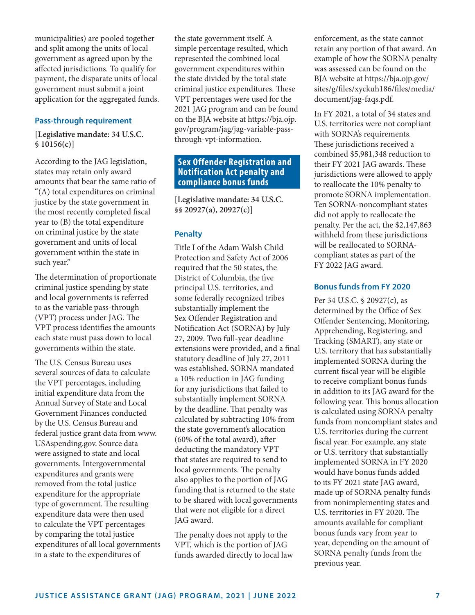municipalities) are pooled together and split among the units of local government as agreed upon by the affected jurisdictions. To qualify for payment, the disparate units of local government must submit a joint application for the aggregated funds.

#### **Pass-through requirement**

**[Legislative mandate: 34 U.S.C. § 10156(c)]**

According to the JAG legislation, states may retain only award amounts that bear the same ratio of "(A) total expenditures on criminal justice by the state government in the most recently completed fiscal year to (B) the total expenditure on criminal justice by the state government and units of local government within the state in such year."

The determination of proportionate criminal justice spending by state and local governments is referred to as the variable pass-through (VPT) process under JAG. The VPT process identifies the amounts each state must pass down to local governments within the state.

The U.S. Census Bureau uses several sources of data to calculate the VPT percentages, including initial expenditure data from the Annual Survey of State and Local Government Finances conducted by the U.S. Census Bureau and federal justice grant data from [www.](https://www.USAspending.gov) [USAspending.gov.](https://www.USAspending.gov) Source data were assigned to state and local governments. Intergovernmental expenditures and grants were removed from the total justice expenditure for the appropriate type of government. The resulting expenditure data were then used to calculate the VPT percentages by comparing the total justice expenditures of all local governments in a state to the expenditures of

the state government itself. A simple percentage resulted, which represented the combined local government expenditures within the state divided by the total state criminal justice expenditures. These VPT percentages were used for the 2021 JAG program and can be found on the BJA website at https://bja.ojp. gov/program/jag/jag-variable-passthrough-vpt-information.

# **Sex Offender Registration and Notification Act penalty and compliance bonus funds**

**[Legislative mandate: 34 U.S.C. §§ 20927(a), 20927(c)]**

#### **Penalty**

Title I of the Adam Walsh Child Protection and Safety Act of 2006 required that the 50 states, the District of Columbia, the five principal U.S. territories, and some federally recognized tribes substantially implement the Sex Offender Registration and Notification Act (SORNA) by July 27, 2009. Two full-year deadline extensions were provided, and a final statutory deadline of July 27, 2011 was established. SORNA mandated a 10% reduction in JAG funding for any jurisdictions that failed to substantially implement SORNA by the deadline. That penalty was calculated by subtracting 10% from the state government's allocation (60% of the total award), after deducting the mandatory VPT that states are required to send to local governments. The penalty also applies to the portion of JAG funding that is returned to the state to be shared with local governments that were not eligible for a direct JAG award.

The penalty does not apply to the VPT, which is the portion of JAG funds awarded directly to local law

enforcement, as the state cannot retain any portion of that award. An example of how the SORNA penalty was assessed can be found on the BJA website at https://bja.ojp.gov/ sites/g/files/xyckuh186/files/media/ document/jag-faqs.pdf.

In FY 2021, a total of 34 states and U.S. territories were not compliant with SORNA's requirements. These jurisdictions received a combined \$5,981,348 reduction to their FY 2021 JAG awards. These jurisdictions were allowed to apply to reallocate the 10% penalty to promote SORNA implementation. Ten SORNA-noncompliant states did not apply to reallocate the penalty. Per the act, the \$2,147,863 withheld from these jurisdictions will be reallocated to SORNAcompliant states as part of the FY 2022 JAG award.

#### **Bonus funds from FY 2020**

Per 34 U.S.C. § 20927(c), as determined by the Office of Sex Offender Sentencing, Monitoring, Apprehending, Registering, and Tracking (SMART), any state or U.S. territory that has substantially implemented SORNA during the current fiscal year will be eligible to receive compliant bonus funds in addition to its JAG award for the following year. This bonus allocation is calculated using SORNA penalty funds from noncompliant states and U.S. territories during the current fiscal year. For example, any state or U.S. territory that substantially implemented SORNA in FY 2020 would have bonus funds added to its FY 2021 state JAG award, made up of SORNA penalty funds from nonimplementing states and U.S. territories in FY 2020. The amounts available for compliant bonus funds vary from year to year, depending on the amount of SORNA penalty funds from the previous year.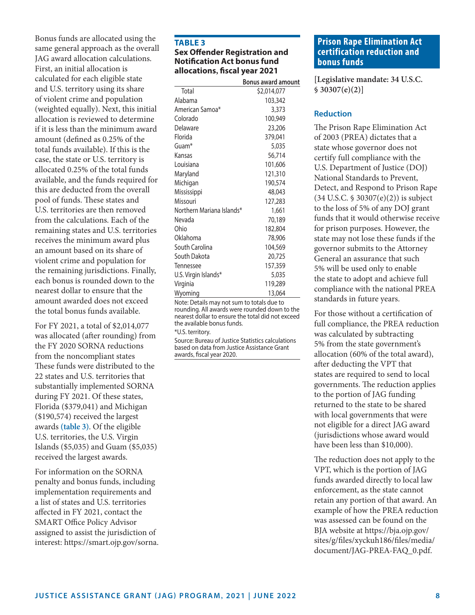Bonus funds are allocated using the same general approach as the overall JAG award allocation calculations. First, an initial allocation is calculated for each eligible state and U.S. territory using its share of violent crime and population (weighted equally). Next, this initial allocation is reviewed to determine if it is less than the minimum award amount (defined as 0.25% of the total funds available). If this is the case, the state or U.S. territory is allocated 0.25% of the total funds available, and the funds required for this are deducted from the overall pool of funds. These states and U.S. territories are then removed from the calculations. Each of the remaining states and U.S. territories receives the minimum award plus an amount based on its share of violent crime and population for the remaining jurisdictions. Finally, each bonus is rounded down to the nearest dollar to ensure that the amount awarded does not exceed the total bonus funds available.

For FY 2021, a total of \$2,014,077 was allocated (after rounding) from the FY 2020 SORNA reductions from the noncompliant states These funds were distributed to the 22 states and U.S. territories that substantially implemented SORNA during FY 2021. Of these states, Florida (\$379,041) and Michigan (\$190,574) received the largest awards **(table 3)**. Of the eligible U.S. territories, the U.S. Virgin Islands (\$5,035) and Guam (\$5,035) received the largest awards.

For information on the SORNA penalty and bonus funds, including implementation requirements and a list of states and U.S. territories affected in FY 2021, contact the SMART Office Policy Advisor assigned to assist the jurisdiction of interest: https://smart.ojp.gov/sorna.

#### **TAbLE 3 Sex Offender Registration and Notification Act bonus fund allocations, fiscal year 2021**

|                           | <b>Bonus award amount</b> |
|---------------------------|---------------------------|
| Total                     | \$2,014,077               |
| Alabama                   | 103,342                   |
| American Samoa*           | 3,373                     |
| Colorado                  | 100,949                   |
| Delaware                  | 23,206                    |
| Florida                   | 379,041                   |
| Guam <sup>*</sup>         | 5,035                     |
| Kansas                    | 56,714                    |
| I ouisiana                | 101,606                   |
| Maryland                  | 121,310                   |
| Michigan                  | 190,574                   |
| Mississippi               | 48,043                    |
| Missouri                  | 127,283                   |
| Northern Mariana Islands* | 1,661                     |
| Nevada                    | 70,189                    |
| Ohio                      | 182,804                   |
| Oklahoma                  | 78,906                    |
| South Carolina            | 104,569                   |
| South Dakota              | 20,725                    |
| Tennessee                 | 157,359                   |
| U.S. Virgin Islands*      | 5,035                     |
| Virginia                  | 119,289                   |
| Wyoming                   | 13,064                    |

Note: Details may not sum to totals due to rounding. All awards were rounded down to the nearest dollar to ensure the total did not exceed the available bonus funds.

\*U.S. territory.

Source: Bureau of Justice Statistics calculations based on data from Justice Assistance Grant awards, fiscal year 2020.

# **Prison Rape Elimination Act certification reduction and bonus funds**

**[Legislative mandate: 34 U.S.C. § 30307(e)(2)]**

## **Reduction**

The Prison Rape Elimination Act of 2003 (PREA) dictates that a state whose governor does not certify full compliance with the U.S. Department of Justice (DOJ) National Standards to Prevent, Detect, and Respond to Prison Rape (34 U.S.C. § 30307(e)(2)) is subject to the loss of 5% of any DOJ grant funds that it would otherwise receive for prison purposes. However, the state may not lose these funds if the governor submits to the Attorney General an assurance that such 5% will be used only to enable the state to adopt and achieve full compliance with the national PREA standards in future years.

For those without a certification of full compliance, the PREA reduction was calculated by subtracting 5% from the state government's allocation (60% of the total award), after deducting the VPT that states are required to send to local governments. The reduction applies to the portion of JAG funding returned to the state to be shared with local governments that were not eligible for a direct JAG award (jurisdictions whose award would have been less than \$10,000).

The reduction does not apply to the VPT, which is the portion of JAG funds awarded directly to local law enforcement, as the state cannot retain any portion of that award. An example of how the PREA reduction was assessed can be found on the BJA website at https://bja.ojp.gov/ sites/g/files/xyckuh186/files/media/ document/JAG-PREA-FAQ\_0.pdf.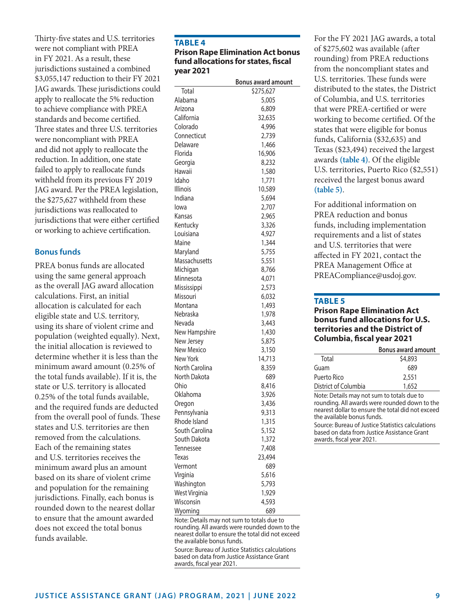Thirty-five states and U.S. territories were not compliant with PREA in FY 2021. As a result, these jurisdictions sustained a combined \$3,055,147 reduction to their FY 2021 JAG awards. These jurisdictions could apply to reallocate the 5% reduction to achieve compliance with PREA standards and become certified. Three states and three U.S. territories were noncompliant with PREA and did not apply to reallocate the reduction. In addition, one state failed to apply to reallocate funds withheld from its previous FY 2019 JAG award. Per the PREA legislation, the \$275,627 withheld from these jurisdictions was reallocated to jurisdictions that were either certified or working to achieve certification.

#### **Bonus funds**

PREA bonus funds are allocated using the same general approach as the overall JAG award allocation calculations. First, an initial allocation is calculated for each eligible state and U.S. territory, using its share of violent crime and population (weighted equally). Next, the initial allocation is reviewed to determine whether it is less than the minimum award amount (0.25% of the total funds available). If it is, the state or U.S. territory is allocated 0.25% of the total funds available, and the required funds are deducted from the overall pool of funds. These states and U.S. territories are then removed from the calculations. Each of the remaining states and U.S. territories receives the minimum award plus an amount based on its share of violent crime and population for the remaining jurisdictions. Finally, each bonus is rounded down to the nearest dollar to ensure that the amount awarded does not exceed the total bonus funds available.

# **TAbLE 4 Prison Rape Elimination Act bonus fund allocations for states, fiscal year 2021**

|                   | <b>Bonus award amount</b> |
|-------------------|---------------------------|
| Total             | \$275,627                 |
| Alabama           | 5,005                     |
| Arizona           | 6,809                     |
| California        | 32,635                    |
| Colorado          | 4,996                     |
| Connecticut       | 2,739                     |
| Delaware          | 1,466                     |
| Florida           | 16,906                    |
| Georgia           | 8,232                     |
| Hawaii            | 1,580                     |
| Idaho             | 1,771                     |
| <b>Illinois</b>   | 10,589                    |
| Indiana           | 5,694                     |
| lowa              | 2,707                     |
| Kansas            | 2,965                     |
| Kentucky          | 3,326                     |
| Louisiana         | 4,927                     |
| Maine             | 1,344                     |
| Maryland          | 5,755                     |
| Massachusetts     | 5,551                     |
| Michigan          | 8,766                     |
| Minnesota         | 4,071                     |
| Mississippi       | 2,573                     |
| Missouri          | 6,032                     |
| Montana           | 1,493                     |
| Nebraska          | 1,978                     |
| Nevada            | 3,443                     |
| New Hampshire     | 1,430                     |
| New Jersey        | 5,875                     |
| <b>New Mexico</b> | 3,150                     |
| <b>New York</b>   | 14,713                    |
| North Carolina    | 8,359                     |
| North Dakota      | 689                       |
| Ohio              | 8,416                     |
| Oklahoma          | 3,926                     |
| Oregon            | 3,436                     |
| Pennsylvania      | 9,313                     |
| Rhode Island      | 1,315                     |
| South Carolina    | 5,152                     |
| South Dakota      | 1,372                     |
| Tennessee         | 7,408                     |
| <b>Texas</b>      | 23,494                    |
| Vermont           | 689                       |
| Virginia          | 5,616                     |
| Washington        | 5,793                     |
| West Virginia     | 1,929                     |
| Wisconsin         | 4,593                     |
| Wyoming           | 689                       |
|                   |                           |

Note: Details may not sum to totals due to rounding. All awards were rounded down to the nearest dollar to ensure the total did not exceed the available bonus funds.

Source: Bureau of Justice Statistics calculations based on data from Justice Assistance Grant awards, fiscal year 2021.

For the FY 2021 JAG awards, a total of \$275,602 was available (after rounding) from PREA reductions from the noncompliant states and U.S. territories. These funds were distributed to the states, the District of Columbia, and U.S. territories that were PREA-certified or were working to become certified. Of the states that were eligible for bonus funds, California (\$32,635) and Texas (\$23,494) received the largest awards **(table 4)**. Of the eligible U.S. territories, Puerto Rico (\$2,551) received the largest bonus award **(table 5)**.

For additional information on PREA reduction and bonus funds, including implementation requirements and a list of states and U.S. territories that were affected in FY 2021, contact the PREA Management Office at PREACompliance@usdoj.gov.

#### **TAbLE 5**

#### **Prison Rape Elimination Act bonus fund allocations for u.S. territories and the District of Columbia, fiscal year 2021**

|                      | <b>Bonus award amount</b> |  |  |
|----------------------|---------------------------|--|--|
| Total                | \$4,893                   |  |  |
| Guam                 | 689                       |  |  |
| Puerto Rico          | 2,551                     |  |  |
| District of Columbia | 1,652                     |  |  |
|                      |                           |  |  |

Note: Details may not sum to totals due to rounding. All awards were rounded down to the nearest dollar to ensure the total did not exceed the available bonus funds.

Source: Bureau of Justice Statistics calculations based on data from Justice Assistance Grant awards, fiscal year 2021.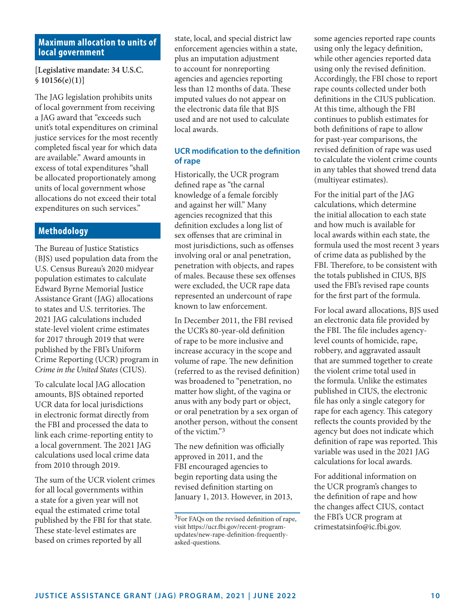# **Maximum allocation to units of local government**

**[Legislative mandate: 34 U.S.C. § 10156(e)(1)]**

The JAG legislation prohibits units of local government from receiving a JAG award that "exceeds such unit's total expenditures on criminal justice services for the most recently completed fiscal year for which data are available." Award amounts in excess of total expenditures "shall be allocated proportionately among units of local government whose allocations do not exceed their total expenditures on such services."

# **Methodology**

The Bureau of Justice Statistics (BJS) used population data from the U.S. Census Bureau's 2020 midyear population estimates to calculate Edward Byrne Memorial Justice Assistance Grant (JAG) allocations to states and U.S. territories. The 2021 JAG calculations included state-level violent crime estimates for 2017 through 2019 that were published by the FBI's Uniform Crime Reporting (UCR) program in *Crime in the United States* (CIUS).

To calculate local JAG allocation amounts, BJS obtained reported UCR data for local jurisdictions in electronic format directly from the FBI and processed the data to link each crime-reporting entity to a local government. The 2021 JAG calculations used local crime data from 2010 through 2019.

The sum of the UCR violent crimes for all local governments within a state for a given year will not equal the estimated crime total published by the FBI for that state. These state-level estimates are based on crimes reported by all

state, local, and special district law enforcement agencies within a state, plus an imputation adjustment to account for nonreporting agencies and agencies reporting less than 12 months of data. These imputed values do not appear on the electronic data file that BJS used and are not used to calculate local awards.

# **UCR modification to the definition of rape**

Historically, the UCR program defined rape as "the carnal knowledge of a female forcibly and against her will." Many agencies recognized that this definition excludes a long list of sex offenses that are criminal in most jurisdictions, such as offenses involving oral or anal penetration, penetration with objects, and rapes of males. Because these sex offenses were excluded, the UCR rape data represented an undercount of rape known to law enforcement.

In December 2011, the FBI revised the UCR's 80-year-old definition of rape to be more inclusive and increase accuracy in the scope and volume of rape. The new definition (referred to as the revised definition) was broadened to "penetration, no matter how slight, of the vagina or anus with any body part or object, or oral penetration by a sex organ of another person, without the consent of the victim."3

The new definition was officially approved in 2011, and the FBI encouraged agencies to begin reporting data using the revised definition starting on January 1, 2013. However, in 2013, some agencies reported rape counts using only the legacy definition, while other agencies reported data using only the revised definition. Accordingly, the FBI chose to report rape counts collected under both definitions in the CIUS publication. At this time, although the FBI continues to publish estimates for both definitions of rape to allow for past-year comparisons, the revised definition of rape was used to calculate the violent crime counts in any tables that showed trend data (multiyear estimates).

For the initial part of the JAG calculations, which determine the initial allocation to each state and how much is available for local awards within each state, the formula used the most recent 3 years of crime data as published by the FBI. Therefore, to be consistent with the totals published in CIUS, BJS used the FBI's revised rape counts for the first part of the formula.

For local award allocations, BJS used an electronic data file provided by the FBI. The file includes agencylevel counts of homicide, rape, robbery, and aggravated assault that are summed together to create the violent crime total used in the formula. Unlike the estimates published in CIUS, the electronic file has only a single category for rape for each agency. This category reflects the counts provided by the agency but does not indicate which definition of rape was reported. This variable was used in the 2021 JAG calculations for local awards.

For additional information on the UCR program's changes to the definition of rape and how the changes affect CIUS, contact the FBI's UCR program at crimestatsinfo@ic.fbi.gov.

<sup>&</sup>lt;sup>3</sup>For FAQs on the revised definition of rape, visit [https://ucr.fbi.gov/recent-program](https://ucr.fbi.gov/recent-program-updates/new-rape-definition-frequently-asked-questions)[updates/new-rape-definition-frequently](https://ucr.fbi.gov/recent-program-updates/new-rape-definition-frequently-asked-questions)[asked-questions.](https://ucr.fbi.gov/recent-program-updates/new-rape-definition-frequently-asked-questions)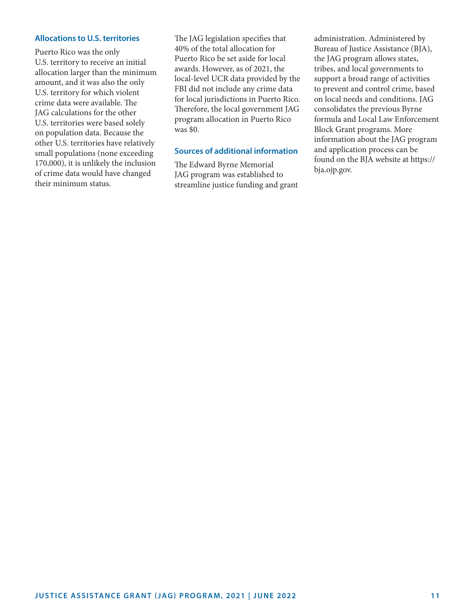#### **Allocations to U.S. territories**

Puerto Rico was the only U.S. territory to receive an initial allocation larger than the minimum amount, and it was also the only U.S. territory for which violent crime data were available. The JAG calculations for the other U.S. territories were based solely on population data. Because the other U.S. territories have relatively small populations (none exceeding 170,000), it is unlikely the inclusion of crime data would have changed their minimum status.

The JAG legislation specifies that 40% of the total allocation for Puerto Rico be set aside for local awards. However, as of 2021, the local-level UCR data provided by the FBI did not include any crime data for local jurisdictions in Puerto Rico. Therefore, the local government JAG program allocation in Puerto Rico was \$0.

#### **Sources of additional information**

The Edward Byrne Memorial JAG program was established to streamline justice funding and grant

administration. Administered by Bureau of Justice Assistance (BJA), the JAG program allows states, tribes, and local governments to support a broad range of activities to prevent and control crime, based on local needs and conditions. JAG consolidates the previous Byrne formula and Local Law Enforcement Block Grant programs. More information about the JAG program and application process can be found on the BJA website at [https://](https://bja.ojp.gov) [bja.ojp.gov.](https://bja.ojp.gov)